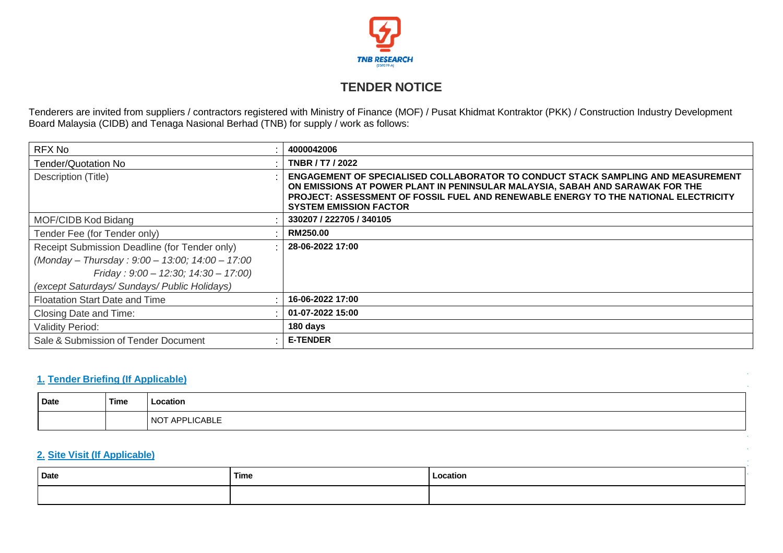

# **TENDER NOTICE**

Tenderers are invited from suppliers / contractors registered with Ministry of Finance (MOF) / Pusat Khidmat Kontraktor (PKK) / Construction Industry Development Board Malaysia (CIDB) and Tenaga Nasional Berhad (TNB) for supply / work as follows:

| RFX No                                          | 4000042006                                                                                                                                                                                                                                                                                |
|-------------------------------------------------|-------------------------------------------------------------------------------------------------------------------------------------------------------------------------------------------------------------------------------------------------------------------------------------------|
| Tender/Quotation No                             | TNBR / T7 / 2022                                                                                                                                                                                                                                                                          |
| Description (Title)                             | ENGAGEMENT OF SPECIALISED COLLABORATOR TO CONDUCT STACK SAMPLING AND MEASUREMENT<br>ON EMISSIONS AT POWER PLANT IN PENINSULAR MALAYSIA, SABAH AND SARAWAK FOR THE<br>PROJECT: ASSESSMENT OF FOSSIL FUEL AND RENEWABLE ENERGY TO THE NATIONAL ELECTRICITY<br><b>SYSTEM EMISSION FACTOR</b> |
| MOF/CIDB Kod Bidang                             | 330207 / 222705 / 340105                                                                                                                                                                                                                                                                  |
| Tender Fee (for Tender only)                    | <b>RM250.00</b>                                                                                                                                                                                                                                                                           |
| Receipt Submission Deadline (for Tender only)   | 28-06-2022 17:00                                                                                                                                                                                                                                                                          |
| (Monday - Thursday: 9:00 - 13:00; 14:00 - 17:00 |                                                                                                                                                                                                                                                                                           |
| Friday: $9:00 - 12:30$ ; $14:30 - 17:00$ )      |                                                                                                                                                                                                                                                                                           |
| (except Saturdays/ Sundays/ Public Holidays)    |                                                                                                                                                                                                                                                                                           |
| <b>Floatation Start Date and Time</b>           | 16-06-2022 17:00                                                                                                                                                                                                                                                                          |
| Closing Date and Time:                          | 01-07-2022 15:00                                                                                                                                                                                                                                                                          |
| <b>Validity Period:</b>                         | 180 days                                                                                                                                                                                                                                                                                  |
| Sale & Submission of Tender Document            | <b>E-TENDER</b>                                                                                                                                                                                                                                                                           |

## **1. Tender Briefing (If Applicable)**

| <b>Date</b> | Time | Location                                      |
|-------------|------|-----------------------------------------------|
|             |      | <b>LICABLE</b><br>NO <sup>'</sup><br>חח<br>ΑI |

## **2. Site Visit (If Applicable)**

| Date | Time | Location<br>. |
|------|------|---------------|
|      |      |               |